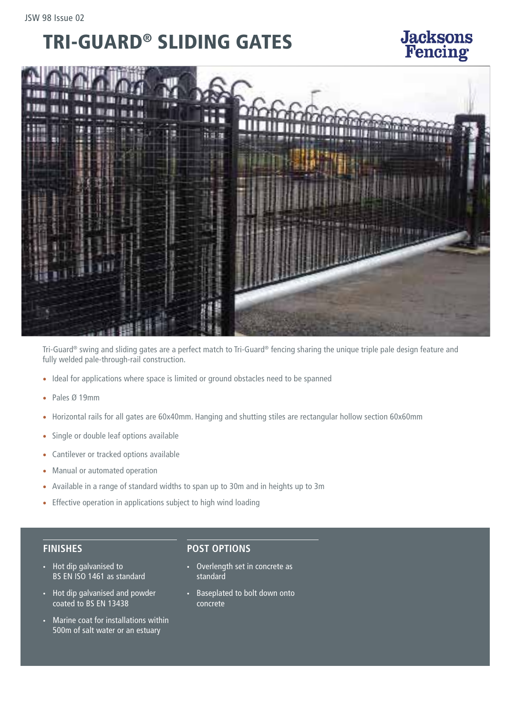## TRI-GUARD® SLIDING GATES

**Jacksons**<br>Fencing

Tri-Guard® swing and sliding gates are a perfect match to Tri-Guard® fencing sharing the unique triple pale design feature and fully welded pale-through-rail construction.

- Ideal for applications where space is limited or ground obstacles need to be spanned
- Pales Ø 19mm
- Horizontal rails for all gates are 60x40mm. Hanging and shutting stiles are rectangular hollow section 60x60mm
- Single or double leaf options available
- Cantilever or tracked options available
- Manual or automated operation
- Available in a range of standard widths to span up to 30m and in heights up to 3m
- Effective operation in applications subject to high wind loading

#### **FINISHES**

- Hot dip galvanised to BS EN ISO 1461 as standard
- Hot dip galvanised and powder coated to BS EN 13438
- Marine coat for installations within 500m of salt water or an estuary

### **POST OPTIONS**

- Overlength set in concrete as standard
- Baseplated to bolt down onto concrete